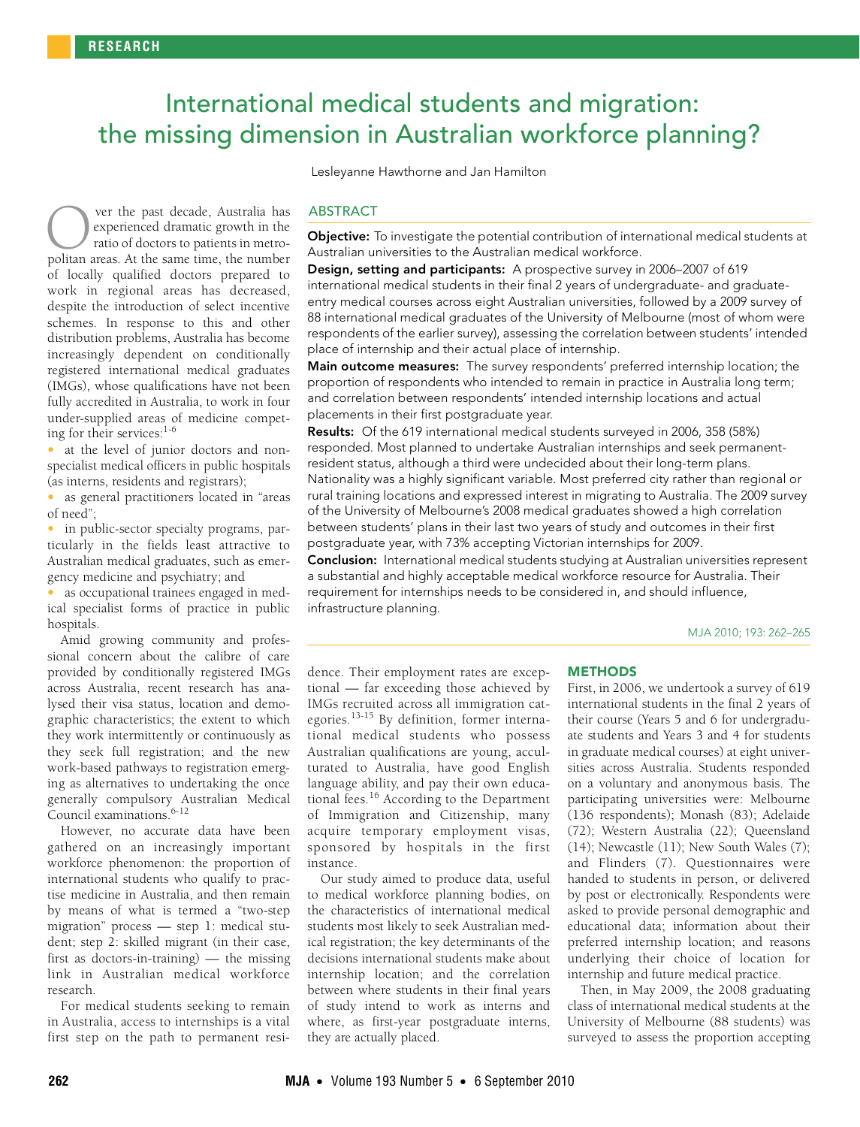# <span id="page-0-0"></span> International medical students and migration: the missing dimension in Australian workforce planning?

Lesleyanne Hawthorne and Jan Hamilton

schemes. In response to this and other distribution problems, Australia has become 262-265 [increasin](#page-0-0)[gly](#page-3-0) dependent on conditionally registered international medical graduates (IMGs), whose qualifications have not been Inters), whose quanneations have not been<br>fully accredited in Australia, to work in four ver the past decade, Australia has experienced dramatic growth in the ratio of doctors to patients in metro**polity** ver the past decade, Australia has experienced dramatic growth in the ratio of doctors to patients in metropolitan areas. At the same time, the number of locally qualified doctors prepared to work in regional areas has decreased, despite the introduction of select incentive under-supplied areas of medicine competing for their services:[1-](#page-2-0)[6](#page-2-1)

at the level of junior doctors and nonspecialist medical officers in public hospitals (as interns, residents and registrars);

• as general practitioners located in "areas of need";

• in public-sector specialty programs, particularly in the fields least attractive to Australian medical graduates, such as emergency medicine and psychiatry; and

• as occupational trainees engaged in medical specialist forms of practice in public hospitals.

Amid growing community and professional concern about the calibre of care provided by conditionally registered IMGs across Australia, recent research has analysed their visa status, location and demographic characteristics; the extent to which they work intermittently or continuously as they seek full registration; and the new work-based pathways to registration emerging as alternatives to undertaking the once generally compulsory Australian Medical Council examinations.<sup>6-[12](#page-2-2)</sup>

However, no accurate data have been gathered on an increasingly important workforce phenomenon: the proportion of international students who qualify to practise medicine in Australia, and then remain by means of what is termed a "two-step migration" process — step 1: medical student; step 2: skilled migrant (in their case, first as doctors-in-training) — the missing link in Australian medical workforce research.

For medical students seeking to remain in Australia, access to internships is a vital first step on the path to permanent resi-

# **ABSTRACT**

**Objective:** To investigate the potential contribution of international medical students at Australian universities to the Australian medical workforce.

Design, setting and participants: A prospective survey in 2006–2007 of 619 international medical students in their final 2 years of undergraduate- and graduateentry medical courses across eight Australian universities, followed by a 2009 survey of 88 international medical graduates of the University of Melbourne (most of whom were respondents of the earlier survey), assessing the correlation between students' intended [pla](#page-0-0)ce of internship and their actual place of internship.

Main outcome measures: The survey respondents' preferred internship location; the proportion of respondents who intended to remain in practice in Australia long term; and correlation between respondents' intended internship locations and actual placements in their first postgraduate year.

Results: Of the 619 international medical students surveyed in 2006, 358 (58%) responded. Most planned to undertake Australian internships and seek permanentresident status, although a third were undecided about their long-term plans. Nationality was a highly significant variable. Most preferred city rather than regional or rural training locations and expressed interest in migrating to Australia. The 2009 survey of the University of Melbourne's 2008 medical graduates showed a high correlation between students' plans in their last two years of study and outcomes in their first postgraduate year, with 73% accepting Victorian internships for 2009.

**Conclusion:** International medical students studying at Australian universities represent a substantial and highly acceptable medical workforce resource for Australia. Their requirement for internships needs to be considered in, and should influence, infrastructure planning.

MJA 2010; 193: 262–265

dence. Their employment rates are exceptional — far exceeding those achieved by IMGs recruited across all immigration categories.[13-](#page-2-3)[15](#page-2-4) By definition, former international medical students who possess Australian qualifications are young, acculturated to Australia, have good English language ability, and pay their own educational fees.[16](#page-2-5) According to the Department of Immigration and Citizenship, many acquire temporary employment visas, sponsored by hospitals in the first instance.

Our study aimed to produce data, useful to medical workforce planning bodies, on the characteristics of international medical students most likely to seek Australian medical registration; the key determinants of the decisions international students make about internship location; and the correlation between where students in their final years of study intend to work as interns and where, as first-year postgraduate interns, they are actually placed.

#### **METHODS**

First, in 2006, we undertook a survey of 619 international students in the final 2 years of their course (Years 5 and 6 for undergraduate students and Years 3 and 4 for students in graduate medical courses) at eight universities across Australia. Students responded on a voluntary and anonymous basis. The participating universities were: Melbourne (136 respondents); Monash (83); Adelaide (72); Western Australia (22); Queensland  $(14)$ ; Newcastle  $(11)$ ; New South Wales  $(7)$ ; and Flinders (7). Questionnaires were handed to students in person, or delivered by post or electronically. Respondents were asked to provide personal demographic and educational data; information about their preferred internship location; and reasons underlying their choice of location for internship and future medical practice.

Then, in May 2009, the 2008 graduating class of international medical students at the University of Melbourne (88 students) was surveyed to assess the proportion accepting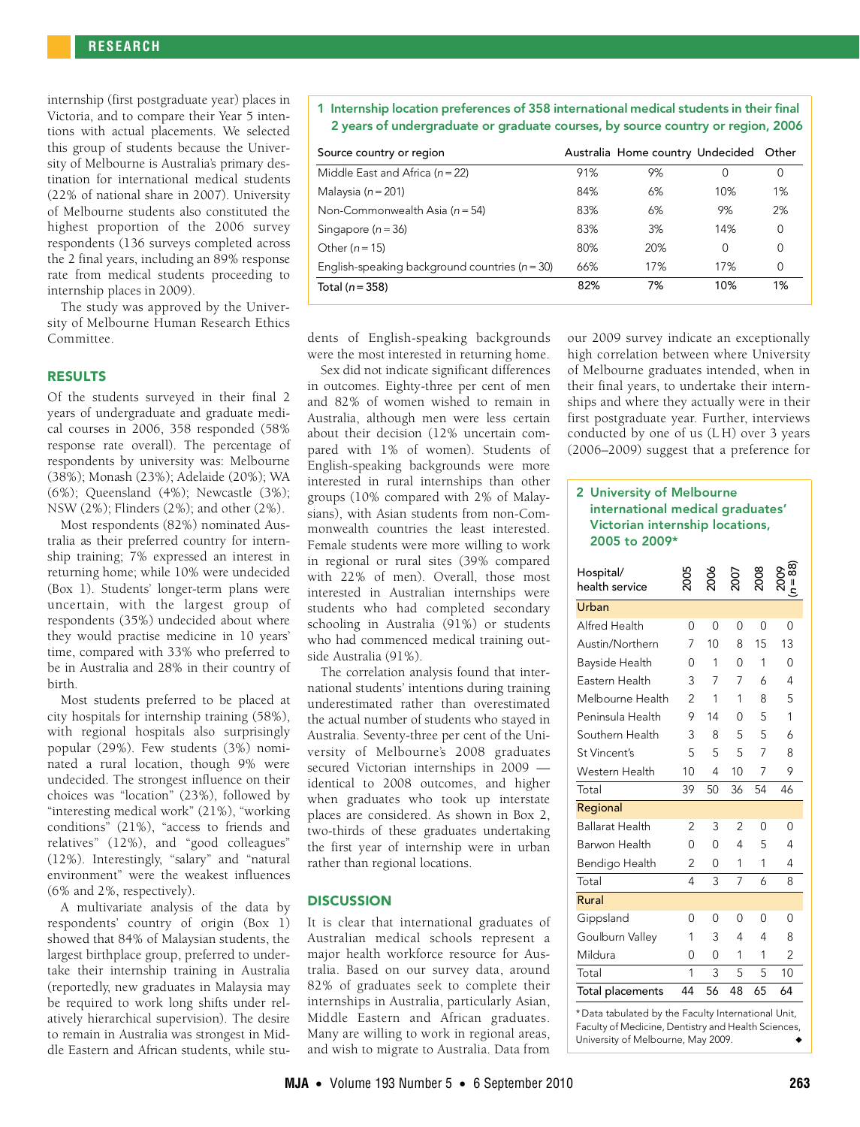internship (first postgraduate year) places in Victoria, and to compare their Year 5 intentions with actual placements. We selected this group of students because the University of Melbourne is Australia's primary destination for international medical students (22% of national share in 2007). University of Melbourne students also constituted the highest proportion of the 2006 survey respondents (136 surveys completed across the 2 final years, including an 89% response rate from medical students proceeding to internship places in 2009).

The study was approved by the University of Melbourne Human Research Ethics Committee.

#### RESULTS

Of the students surveyed in their final 2 years of undergraduate and graduate medical courses in 2006, 358 responded (58% response rate overall). The percentage of respondents by university was: Melbourne (38%); Monash (23%); Adelaide (20%); WA (6%); Queensland (4%); Newcastle (3%); NSW (2%); Flinders (2%); and other (2%).

Most respondents (82%) nominated Australia as their preferred country for internship training; 7% expressed an interest in returning home; while 10% were undecided ([Box 1](#page-1-0)). Students' longer-term plans were uncertain, with the largest group of respondents (35%) undecided about where they would practise medicine in 10 years' time, compared with 33% who preferred to be in Australia and 28% in their country of birth.

Most students preferred to be placed at city hospitals for internship training (58%), with regional hospitals also surprisingly popular (29%). Few students (3%) nominated a rural location, though 9% were undecided. The strongest influence on their choices was "location" (23%), followed by "interesting medical work" (21%), "working conditions" (21%), "access to friends and relatives" (12%), and "good colleagues" (12%). Interestingly, "salary" and "natural environment" were the weakest influences (6% and 2%, respectively).

A multivariate analysis of the data by respondents' country of origin (Box 1) showed that 84% of Malaysian students, the largest birthplace group, preferred to undertake their internship training in Australia (reportedly, new graduates in Malaysia may be required to work long shifts under relatively hierarchical supervision). The desire to remain in Australia was strongest in Middle Eastern and African students, while stu<span id="page-1-0"></span>1 Internship location preferences of 358 international medical students in their final 2 years of undergraduate or graduate courses, by source country or region, 2006

| Source country or region                           |     | Australia Home country Undecided Other |     |    |
|----------------------------------------------------|-----|----------------------------------------|-----|----|
| Middle East and Africa ( $n = 22$ )                | 91% | 9%                                     | 0   |    |
| Malaysia ( $n = 201$ )                             | 84% | 6%                                     | 10% | 1% |
| Non-Commonwealth Asia ( $n = 54$ )                 | 83% | 6%                                     | 9%  | 2% |
| Singapore $(n = 36)$                               | 83% | 3%                                     | 14% | 0  |
| Other $(n = 15)$                                   | 80% | 20%                                    | 0   | 0  |
| English-speaking background countries ( $n = 30$ ) | 66% | 17%                                    | 17% | 0  |
| Total (n = 358)                                    | 82% | 7%                                     | 10% | 1% |

dents of English-speaking backgrounds were the most interested in returning home.

Sex did not indicate significant differences in outcomes. Eighty-three per cent of men and 82% of women wished to remain in Australia, although men were less certain about their decision (12% uncertain compared with 1% of women). Students of English-speaking backgrounds were more interested in rural internships than other groups (10% compared with 2% of Malaysians), with Asian students from non-Commonwealth countries the least interested. Female students were more willing to work in regional or rural sites (39% compared with 22% of men). Overall, those most interested in Australian internships were students who had completed secondary schooling in Australia (91%) or students who had commenced medical training outside Australia (91%).

The correlation analysis found that international students' intentions during training underestimated rather than overestimated the actual number of students who stayed in Australia. Seventy-three per cent of the University of Melbourne's 2008 graduates secured Victorian internships in 2009 identical to 2008 outcomes, and higher when graduates who took up interstate places are considered. As shown in Box 2, two-thirds of these graduates undertaking the first year of internship were in urban rather than regional locations.

#### **DISCUSSION**

It is clear that international graduates of Australian medical schools represent a major health workforce resource for Australia. Based on our survey data, around 82% of graduates seek to complete their internships in Australia, particularly Asian, Middle Eastern and African graduates. Many are willing to work in regional areas, and wish to migrate to Australia. Data from

our 2009 survey indicate an exceptionally high correlation between where University of Melbourne graduates intended, when in their final years, to undertake their internships and where they actually were in their first postgraduate year. Further, interviews conducted by one of us (L H) over 3 years (2006–2009) suggest that a preference for

### 2 University of Melbourne international medical graduates' Victorian internship locations, 2005 to 2009\*

| Hospital/<br>health service |                |          | 20C            |          | 88             |
|-----------------------------|----------------|----------|----------------|----------|----------------|
| Urban                       |                |          |                |          |                |
| Alfred Health               | 0              | $\Omega$ | 0              | 0        | 0              |
| Austin/Northern             | 7              | 10       | 8              | 15       | 13             |
| Bayside Health              | ი              | 1        | O              | 1        | 0              |
| Eastern Health              | 3              | 7        | 7              | 6        | 4              |
| Melbourne Health            | $\mathfrak{p}$ | 1        | 1              | 8        | 5              |
| Peninsula Health            | 9              | 14       | 0              | 5        | 1              |
| Southern Health             | 3              | 8        | 5              | 5        | 6              |
| St Vincent's                | 5              | 5        | 5              | 7        | 8              |
| Western Health              | 10             | 4        | 10             | 7        | 9              |
| Total                       | 39             | 50       | 36             | 54       | 46             |
| Regional                    |                |          |                |          |                |
| <b>Ballarat Health</b>      | 2              | 3        | $\overline{2}$ | 0        | 0              |
| Barwon Health               | 0              | $\Omega$ | 4              | 5        | 4              |
| Bendigo Health              | $\overline{2}$ | 0        | 1              | 1        | 4              |
| Total                       | 4              | 3        | 7              | 6        | 8              |
| Rural                       |                |          |                |          |                |
| Gippsland                   | O              | 0        | 0              | $\Omega$ | 0              |
| Goulburn Valley             | 1              | 3        | 4              | 4        | 8              |
| Mildura                     | 0              | $\Omega$ | 1              | 1        | $\overline{2}$ |
| Total                       | 1              | 3        | 5              | 5        | 10             |
| Total placements            | 44             | 56       | 48             | 65       | 64             |

\* Data tabulated by the Faculty International Unit, Faculty of Medicine, Dentistry and Health Sciences, University of Melbourne, May 2009.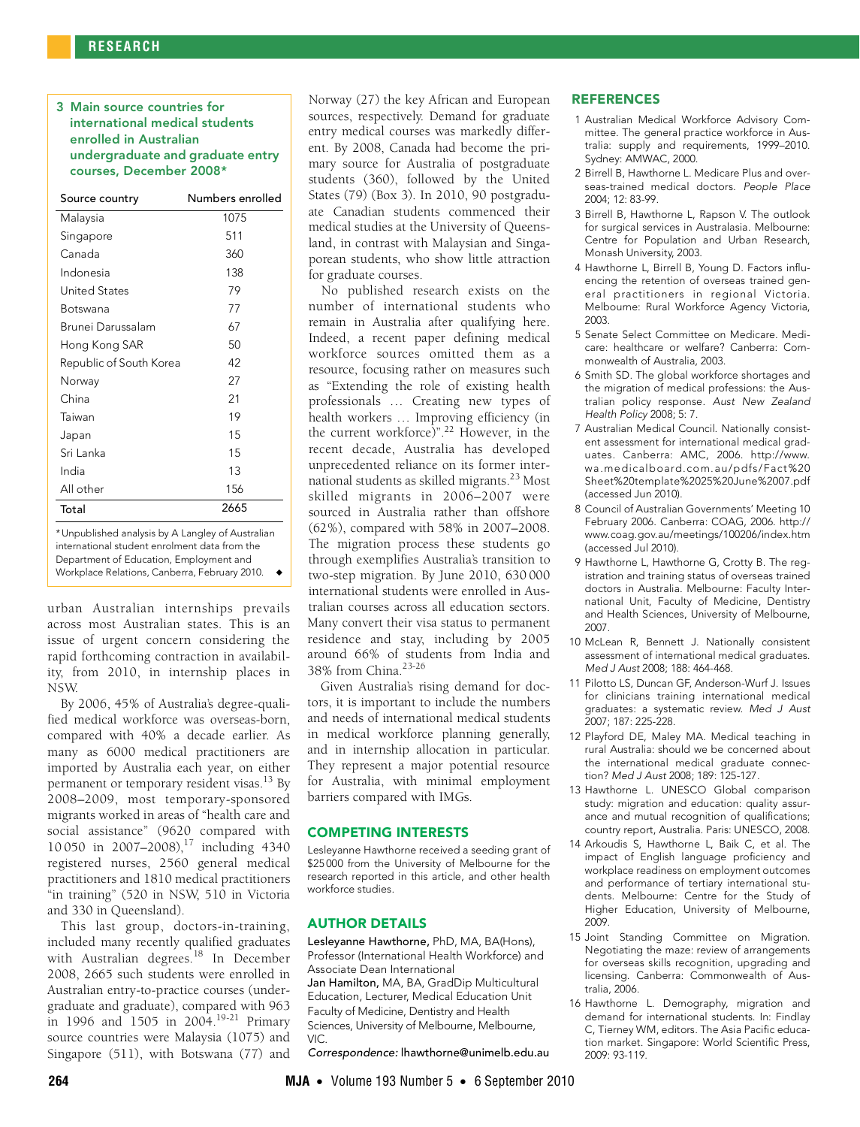## 3 Main source countries for international medical students enrolled in Australian undergraduate and graduate entry courses, December 2008\*

| Source country          | Numbers enrolled |
|-------------------------|------------------|
| Malaysia                | 1075             |
| Singapore               | 511              |
| Canada                  | 360              |
| Indonesia               | 138              |
| United States           | 79               |
| Botswana                | 77               |
| Brunei Darussalam       | 67               |
| Hong Kong SAR           | 50               |
| Republic of South Korea | 42               |
| Norway                  | 27               |
| China                   | 21               |
| Taiwan                  | 19               |
| Japan                   | 1.5              |
| Sri Lanka               | 15               |
| India                   | 13               |
| All other               | 156              |
| Total                   | 2665             |

\* Unpublished analysis by A Langley of Australian international student enrolment data from the Department of Education, Employment and Workplace Relations, Canberra, February 2010. ◆

urban Australian internships prevails across most Australian states. This is an issue of urgent concern considering the rapid forthcoming contraction in availability, from 2010, in internship places in NSW.

By 2006, 45% of Australia's degree-qualified medical workforce was overseas-born, compared with 40% a decade earlier. As many as 6000 medical practitioners are imported by Australia each year, on either permanent or temporary resident visas[.13](#page-2-3) By 2008–2009, most temporary-sponsored migrants worked in areas of "health care and social assistance" (9620 compared with 10 050 in 2007–2008),<sup>17</sup> including 4340 registered nurses, 2560 general medical practitioners and 1810 medical practitioners "in training" (520 in NSW, 510 in Victoria and 330 in Queensland).

This last group, doctors-in-training, included many recently qualified graduates with Australian degrees.<sup>18</sup> In December 2008, 2665 such students were enrolled in Australian entry-to-practice courses (undergraduate and graduate), compared with 963 in 1996 and 1505 in 2004.[19-](#page-3-3)[21](#page-3-4) Primary source countries were Malaysia (1075) and Singapore (511), with Botswana (77) and Norway (27) the key African and European sources, respectively. Demand for graduate entry medical courses was markedly different. By 2008, Canada had become the primary source for Australia of postgraduate students (360), followed by the United States (79) (Box 3). In 2010, 90 postgraduate Canadian students commenced their medical studies at the University of Queensland, in contrast with Malaysian and Singaporean students, who show little attraction for graduate courses.

No published research exists on the number of international students who remain in Australia after qualifying here. Indeed, a recent paper defining medical workforce sources omitted them as a resource, focusing rather on measures such as "Extending the role of existing health professionals ... Creating new types of health workers ... Improving efficiency (in the current workforce)".[22](#page-3-5) However, in the recent decade, Australia has developed unprecedented reliance on its former international students as skilled migrants[.23](#page-3-6) Most skilled migrants in 2006–2007 were sourced in Australia rather than offshore (62%), compared with 58% in 2007–2008. The migration process these students go through exemplifies Australia's transition to two-step migration. By June 2010, 630 000 international students were enrolled in Australian courses across all education sectors. Many convert their visa status to permanent residence and stay, including by 2005 around 66% of students from India and 38% from China.[23-](#page-3-6)[26](#page-3-0)

Given Australia's rising demand for doctors, it is important to include the numbers and needs of international medical students in medical workforce planning generally, and in internship allocation in particular. They represent a major potential resource for Australia, with minimal employment barriers compared with IMGs.

#### COMPETING INTERESTS

Lesleyanne Hawthorne received a seeding grant of \$25000 from the University of Melbourne for the research reported in this article, and other health workforce studies.

#### AUTHOR DETAILS

Lesleyanne Hawthorne, PhD, MA, BA(Hons), Professor (International Health Workforce) and Associate Dean International Jan Hamilton, MA, BA, GradDip Multicultural Education, Lecturer, Medical Education Unit Faculty of Medicine, Dentistry and Health Sciences, University of Melbourne, Melbourne, VIC.

Correspondence: lhawthorne@unimelb.edu.au

Centre for Population and Urban Research, Monash University, 2003.

**REFERENCES** 

2004; 12: 83-99.

Sydney: AMWAC, 2000.

4 Hawthorne L, Birrell B, Young D. Factors influencing the retention of overseas trained general practitioners in regional Victoria. Melbourne: Rural Workforce Agency Victoria, 2003.

<span id="page-2-0"></span>1 Australian Medical Workforce Advisory Committee. The general practice workforce in Australia: supply and requirements, 1999–2010.

2 Birrell B, Hawthorne L. Medicare Plus and overseas-trained medical doctors. People Place

3 Birrell B, Hawthorne L, Rapson V. The outlook for surgical services in Australasia. Melbourne:

- 5 Senate Select Committee on Medicare. Medicare: healthcare or welfare? Canberra: Commonwealth of Australia, 2003.
- <span id="page-2-1"></span>6 Smith SD. The global workforce shortages and the migration of medical professions: the Australian policy response. Aust New Zealand Health Policy 2008; 5: 7.
- 7 Australian Medical Council. Nationally consistent assessment for international medical graduates. Canberra: AMC, 2006. http://www. wa.medicalboard.com.au/pdfs/Fact%20 Sheet%20template%2025%20June%2007.pdf (accessed Jun 2010).
- 8 Council of Australian Governments' Meeting 10 February 2006. Canberra: COAG, 2006. http:// www.coag.gov.au/meetings/100206/index.htm (accessed Jul 2010).
- 9 Hawthorne L, Hawthorne G, Crotty B. The registration and training status of overseas trained doctors in Australia. Melbourne: Faculty International Unit, Faculty of Medicine, Dentistry and Health Sciences, University of Melbourne, 2007.
- 10 McLean R, Bennett J. Nationally consistent assessment of international medical graduates. Med J Aust 2008; 188: 464-468.
- 11 Pilotto LS, Duncan GF, Anderson-Wurf J. Issues for clinicians training international medical graduates: a systematic review. Med J Aust 2007; 187: 225-228.
- <span id="page-2-2"></span>12 Playford DE, Maley MA. Medical teaching in rural Australia: should we be concerned about the international medical graduate connection? Med J Aust 2008; 189: 125-127.
- <span id="page-2-3"></span>13 Hawthorne L. UNESCO Global comparison study: migration and education: quality assurance and mutual recognition of qualifications; country report, Australia. Paris: UNESCO, 2008.
- 14 Arkoudis S, Hawthorne L, Baik C, et al. The impact of English language proficiency and workplace readiness on employment outcomes and performance of tertiary international students. Melbourne: Centre for the Study of Higher Education, University of Melbourne, 2009.
- <span id="page-2-4"></span>15 Joint Standing Committee on Migration. Negotiating the maze: review of arrangements for overseas skills recognition, upgrading and licensing. Canberra: Commonwealth of Australia, 2006.
- <span id="page-2-5"></span>16 Hawthorne L. Demography, migration and demand for international students. In: Findlay C, Tierney WM, editors. The Asia Pacific education market. Singapore: World Scientific Press, 2009: 93-119.